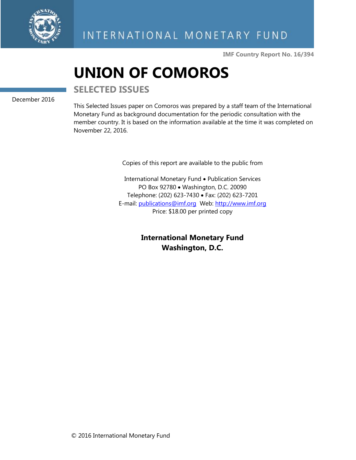

**IMF Country Report No. 16/394**

# **UNION OF COMOROS**

**SELECTED ISSUES**

December 2016

This Selected Issues paper on Comoros was prepared by a staff team of the International Monetary Fund as background documentation for the periodic consultation with the member country. It is based on the information available at the time it was completed on November 22, 2016.

Copies of this report are available to the public from

International Monetary Fund • Publication Services PO Box 92780 • Washington, D.C. 20090 Telephone: (202) 623-7430 Fax: (202) 623-7201 E-mail: [publications@imf.org](mailto:publications@imf.org) Web: [http://www.imf.org](http://www.imf.org/) Price: \$18.00 per printed copy

> **International Monetary Fund Washington, D.C.**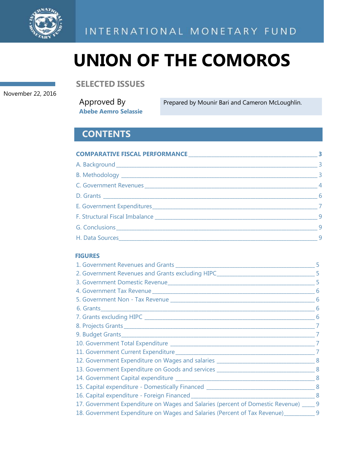

# **UNION OF THE COMOROS**

**SELECTED ISSUES**

November 22, 2016

Approved By **Abebe Aemro Selassie**

Prepared by Mounir Bari and Cameron McLoughlin.

## **CONTENTS**

|                                                                                                                                                                                                                                | $\overline{\mathbf{3}}$ |
|--------------------------------------------------------------------------------------------------------------------------------------------------------------------------------------------------------------------------------|-------------------------|
|                                                                                                                                                                                                                                |                         |
|                                                                                                                                                                                                                                |                         |
|                                                                                                                                                                                                                                |                         |
|                                                                                                                                                                                                                                | $\overline{6}$          |
|                                                                                                                                                                                                                                |                         |
| F. Structural Fiscal Imbalance entrance and the structural problem of the structural structural structural structural structural structural structural structural structural structural structural structural structural struc |                         |
|                                                                                                                                                                                                                                |                         |
|                                                                                                                                                                                                                                | $\overline{9}$          |

### **FIGURES**

| 2. Government Revenues and Grants excluding HIPC_________________________________5                                                                  |   |
|-----------------------------------------------------------------------------------------------------------------------------------------------------|---|
|                                                                                                                                                     |   |
|                                                                                                                                                     |   |
|                                                                                                                                                     |   |
|                                                                                                                                                     |   |
|                                                                                                                                                     | 6 |
|                                                                                                                                                     | 7 |
|                                                                                                                                                     | 7 |
|                                                                                                                                                     | 7 |
|                                                                                                                                                     |   |
| 12. Government Expenditure on Wages and salaries ________________________________8                                                                  |   |
| 13. Government Expenditure on Goods and services ________________________________8                                                                  |   |
|                                                                                                                                                     |   |
|                                                                                                                                                     |   |
|                                                                                                                                                     |   |
| 17. Government Expenditure on Wages and Salaries (percent of Domestic Revenue) _____ 9                                                              |   |
| 18. Government Expenditure on Wages and Salaries (Percent of Tax Revenue) 18. Government Expenditure on Wages and Salaries (Percent of Tax Revenue) |   |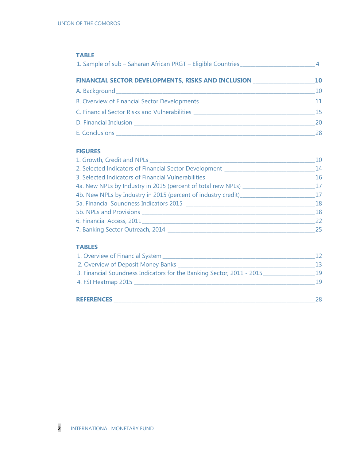| <b>TABLE</b>                                                                      |    |
|-----------------------------------------------------------------------------------|----|
|                                                                                   |    |
| FINANCIAL SECTOR DEVELOPMENTS, RISKS AND INCLUSION ______________________________ |    |
|                                                                                   |    |
|                                                                                   |    |
|                                                                                   |    |
|                                                                                   |    |
|                                                                                   | 28 |

#### **FIGURES**

| 1. Growth, Credit and NPLs                                                       | 10 |
|----------------------------------------------------------------------------------|----|
| 2. Selected Indicators of Financial Sector Development _____________             | 14 |
| 3. Selected Indicators of Financial Vulnerabilities                              | 16 |
| 4a. New NPLs by Industry in 2015 (percent of total new NPLs) ___________________ | 17 |
| 4b. New NPLs by Industry in 2015 (percent of industry credit)                    | 17 |
|                                                                                  | 18 |
|                                                                                  | 18 |
| 6. Financial Access, 2011                                                        | 22 |
| 7. Banking Sector Outreach, 2014                                                 | 25 |

### **TABLES**

| 1. Overview of Financial System _                                     |     |
|-----------------------------------------------------------------------|-----|
| 2. Overview of Deposit Money Banks _                                  | 13  |
| 3. Financial Soundness Indicators for the Banking Sector, 2011 - 2015 | 19  |
| 4. FSI Heatmap 2015                                                   | 1 Q |
|                                                                       |     |
| <b>REFERENCES</b>                                                     | 28  |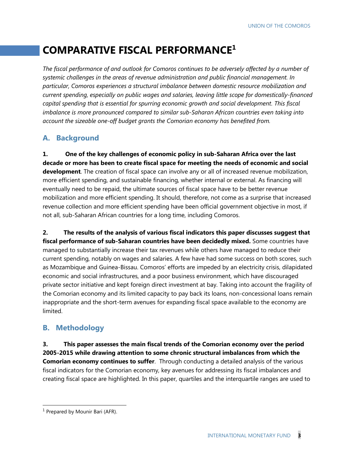## **COMPARATIVE FISCAL PERFORMANCE<sup>1</sup>**

*The fiscal performance of and outlook for Comoros continues to be adversely affected by a number of systemic challenges in the areas of revenue administration and public financial management. In particular, Comoros experiences a structural imbalance between domestic resource mobilization and current spending, especially on public wages and salaries, leaving little scope for domestically-financed capital spending that is essential for spurring economic growth and social development. This fiscal imbalance is more pronounced compared to similar sub-Saharan African countries even taking into account the sizeable one-off budget grants the Comorian economy has benefited from.* 

### **A. Background**

**1. One of the key challenges of economic policy in sub-Saharan Africa over the last decade or more has been to create fiscal space for meeting the needs of economic and social development**. The creation of fiscal space can involve any or all of increased revenue mobilization, more efficient spending, and sustainable financing, whether internal or external. As financing will eventually need to be repaid, the ultimate sources of fiscal space have to be better revenue mobilization and more efficient spending. It should, therefore, not come as a surprise that increased revenue collection and more efficient spending have been official government objective in most, if not all, sub-Saharan African countries for a long time, including Comoros.

**2. The results of the analysis of various fiscal indicators this paper discusses suggest that fiscal performance of sub-Saharan countries have been decidedly mixed.** Some countries have managed to substantially increase their tax revenues while others have managed to reduce their current spending, notably on wages and salaries. A few have had some success on both scores, such as Mozambique and Guinea-Bissau. Comoros' efforts are impeded by an electricity crisis, dilapidated economic and social infrastructures, and a poor business environment, which have discouraged private sector initiative and kept foreign direct investment at bay. Taking into account the fragility of the Comorian economy and its limited capacity to pay back its loans, non-concessional loans remain inappropriate and the short-term avenues for expanding fiscal space available to the economy are limited.

### **B. Methodology**

**3. This paper assesses the main fiscal trends of the Comorian economy over the period 2005-2015 while drawing attention to some chronic structural imbalances from which the Comorian economy continues to suffer**. Through conducting a detailed analysis of the various fiscal indicators for the Comorian economy, key avenues for addressing its fiscal imbalances and creating fiscal space are highlighted. In this paper, quartiles and the interquartile ranges are used to

<sup>&</sup>lt;sup>1</sup> Prepared by Mounir Bari (AFR).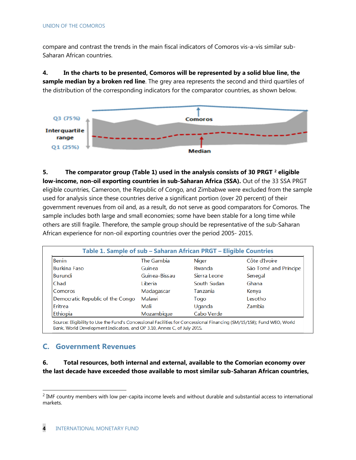compare and contrast the trends in the main fiscal indicators of Comoros vis-a-vis similar sub-Saharan African countries.

**4. In the charts to be presented, Comoros will be represented by a solid blue line, the sample median by a broken red line**. The grey area represents the second and third quartiles of the distribution of the corresponding indicators for the comparator countries, as shown below.



**5. The comparator group (Table 1) used in the analysis consists of 30 PRGT <sup>2</sup> eligible low-income, non-oil exporting countries in sub-Saharan Africa (SSA).** Out of the 33 SSA PRGT eligible countries, Cameroon, the Republic of Congo, and Zimbabwe were excluded from the sample used for analysis since these countries derive a significant portion (over 20 percent) of their government revenues from oil and, as a result, do not serve as good comparators for Comoros. The sample includes both large and small economies; some have been stable for a long time while others are still fragile. Therefore, the sample group should be representative of the sub-Saharan African experience for non-oil exporting countries over the period 2005- 2015.

| <b>Benin</b>                     | The Gambia    | Niger           | Côte d'Ivoire         |
|----------------------------------|---------------|-----------------|-----------------------|
| <b>Burkina Faso</b>              | Guinea        | Rwanda          | São Tomé and Príncipe |
| Burundi                          | Guinea-Bissau | Sierra Leone    | Senegal               |
| Chad                             | Liberia.      | South Sudan     | Ghana                 |
| Comoros                          | Madagascar    | <b>Tanzania</b> | Kenya                 |
| Democratic Republic of the Congo | Malawi        | Togo            | Lesotho               |
| Eritrea                          | Mali          | Uganda          | Zambia                |
| Ethiopia                         | Mozambique    | Cabo Verde      |                       |

### **C. Government Revenues**

 $\overline{a}$ 

**6. Total resources, both internal and external, available to the Comorian economy over the last decade have exceeded those available to most similar sub-Saharan African countries,**

 $<sup>2</sup>$  IMF country members with low per-capita income levels and without durable and substantial access to international</sup> markets.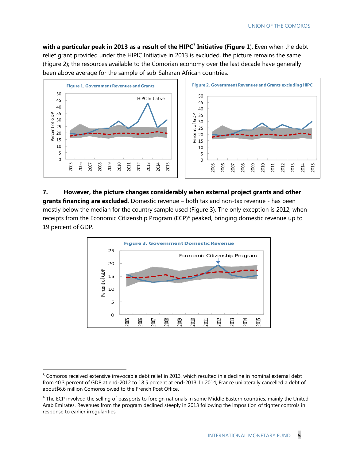**with a particular peak in 2013 as a result of the HIPC<sup>3</sup> Initiative (Figure 1**). Even when the debt relief grant provided under the HIPIC Initiative in 2013 is excluded, the picture remains the same (Figure 2); the resources available to the Comorian economy over the last decade have generally been above average for the sample of sub-Saharan African countries.



**7. However, the picture changes considerably when external project grants and other grants financing are excluded**. Domestic revenue – both tax and non-tax revenue - has been mostly below the median for the country sample used (Figure 3). The only exception is 2012, when receipts from the Economic Citizenship Program (ECP)<sup>4</sup> peaked, bringing domestic revenue up to percent of GDP.



<sup>&</sup>lt;sup>3</sup> Comoros received extensive irrevocable debt relief in 2013, which resulted in a decline in nominal external debt from 40.3 percent of GDP at end-2012 to 18.5 percent at end-2013. In 2014, France unilaterally cancelled a debt of about\$6.6 million Comoros owed to the French Post Office.

 The ECP involved the selling of passports to foreign nationals in some Middle Eastern countries, mainly the United Arab Emirates. Revenues from the program declined steeply in 2013 following the imposition of tighter controls in response to earlier irregularities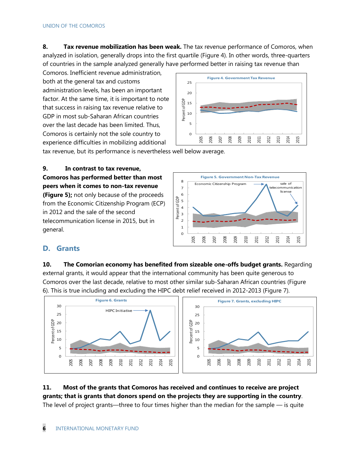**8. Tax revenue mobilization has been weak.** The tax revenue performance of Comoros, when analyzed in isolation, generally drops into the first quartile (Figure 4). In other words, three-quarters of countries in the sample analyzed generally have performed better in raising tax revenue than

Comoros. Inefficient revenue administration, both at the general tax and customs administration levels, has been an important factor. At the same time, it is important to note that success in raising tax revenue relative to GDP in most sub-Saharan African countries over the last decade has been limited. Thus, Comoros is certainly not the sole country to experience difficulties in mobilizing additional



tax revenue, but its performance is nevertheless well below average.

**9. In contrast to tax revenue, Comoros has performed better than most peers when it comes to non-tax revenue (Figure 5);** not only because of the proceeds from the Economic Citizenship Program (ECP) in 2012 and the sale of the second telecommunication license in 2015, but in general.



### **D. Grants**

**10. The Comorian economy has benefited from sizeable one-offs budget grants.** Regarding external grants, it would appear that the international community has been quite generous to Comoros over the last decade, relative to most other similar sub-Saharan African countries (Figure 6). This is true including and excluding the HIPC debt relief received in 2012-2013 (Figure 7).



### **11. Most of the grants that Comoros has received and continues to receive are project grants; that is grants that donors spend on the projects they are supporting in the country**. The level of project grants—three to four times higher than the median for the sample — is quite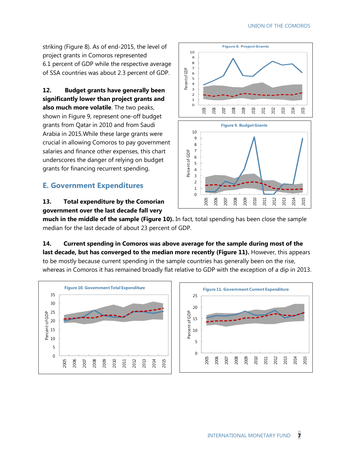striking (Figure 8). As of end-2015, the level of project grants in Comoros represented 6.1 percent of GDP while the respective average of SSA countries was about 2.3 percent of GDP.

**12. Budget grants have generally been significantly lower than project grants and also much more volatile**. The two peaks, shown in Figure 9, represent one-off budget grants from Qatar in 2010 and from Saudi Arabia in 2015.While these large grants were crucial in allowing Comoros to pay government salaries and finance other expenses, this chart underscores the danger of relying on budget grants for financing recurrent spending.

### **E. Government Expenditures**

### **13. Total expenditure by the Comorian government over the last decade fall very**



**much in the middle of the sample (Figure 10).** In fact, total spending has been close the sample median for the last decade of about 23 percent of GDP.

**14. Current spending in Comoros was above average for the sample during most of the**  last decade, but has converged to the median more recently (Figure 11). However, this appears to be mostly because current spending in the sample countries has generally been on the rise, whereas in Comoros it has remained broadly flat relative to GDP with the exception of a dip in 2013.

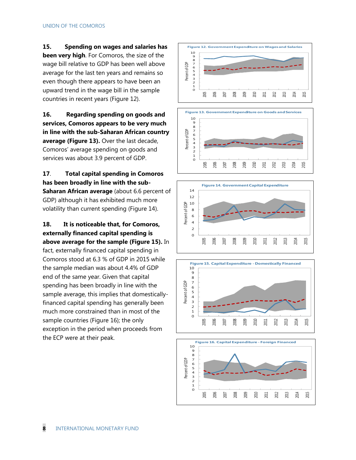**15. Spending on wages and salaries has** 

**been very high**. For Comoros, the size of the wage bill relative to GDP has been well above average for the last ten years and remains so even though there appears to have been an upward trend in the wage bill in the sample countries in recent years (Figure 12).

**16. Regarding spending on goods and services, Comoros appears to be very much in line with the sub-Saharan African country average (Figure 13).** Over the last decade, Comoros' average spending on goods and services was about 3.9 percent of GDP.

. **Total capital spending in Comoros has been broadly in line with the sub-Saharan African average** (about 6.6 percent of GDP) although it has exhibited much more volatility than current spending (Figure 14).

**18. It is noticeable that, for Comoros, externally financed capital spending is above average for the sample (Figure 15).** In

fact, externally financed capital spending in Comoros stood at 6.3 % of GDP in 2015 while the sample median was about 4.4% of GDP end of the same year. Given that capital spending has been broadly in line with the sample average, this implies that domesticallyfinanced capital spending has generally been much more constrained than in most of the sample countries (Figure 16); the only exception in the period when proceeds from the ECP were at their peak.









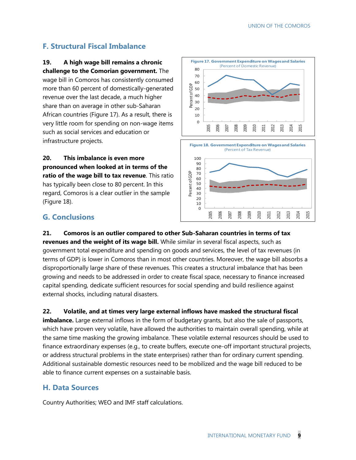### **F. Structural Fiscal Imbalance**

**19. A high wage bill remains a chronic challenge to the Comorian government.** The

wage bill in Comoros has consistently consumed more than 60 percent of domestically-generated revenue over the last decade, a much higher share than on average in other sub-Saharan African countries (Figure 17). As a result, there is very little room for spending on non-wage items such as social services and education or infrastructure projects.

**20. This imbalance is even more pronounced when looked at in terms of the ratio of the wage bill to tax revenue**. This ratio has typically been close to 80 percent. In this regard, Comoros is a clear outlier in the sample (Figure 18).



### **G. Conclusions**

**21. Comoros is an outlier compared to other Sub-Saharan countries in terms of tax revenues and the weight of its wage bill.** While similar in several fiscal aspects, such as government total expenditure and spending on goods and services, the level of tax revenues (in terms of GDP) is lower in Comoros than in most other countries. Moreover, the wage bill absorbs a disproportionally large share of these revenues. This creates a structural imbalance that has been growing and needs to be addressed in order to create fiscal space, necessary to finance increased capital spending, dedicate sufficient resources for social spending and build resilience against external shocks, including natural disasters.

**22. Volatile, and at times very large external inflows have masked the structural fiscal imbalance.** Large external inflows in the form of budgetary grants, but also the sale of passports, which have proven very volatile, have allowed the authorities to maintain overall spending, while at

the same time masking the growing imbalance. These volatile external resources should be used to finance extraordinary expenses (e.g., to create buffers, execute one-off important structural projects, or address structural problems in the state enterprises) rather than for ordinary current spending. Additional sustainable domestic resources need to be mobilized and the wage bill reduced to be able to finance current expenses on a sustainable basis.

### **H. Data Sources**

Country Authorities; WEO and IMF staff calculations.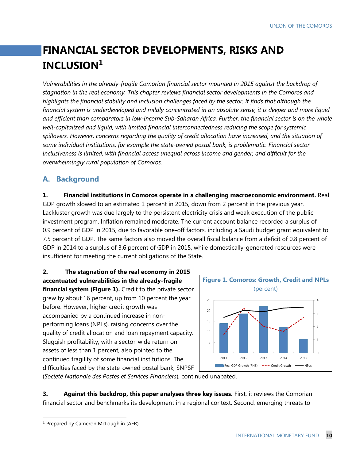# **FINANCIAL SECTOR DEVELOPMENTS, RISKS AND INCLUSION<sup>1</sup>**

*Vulnerabilities in the already-fragile Comorian financial sector mounted in 2015 against the backdrop of stagnation in the real economy. This chapter reviews financial sector developments in the Comoros and highlights the financial stability and inclusion challenges faced by the sector. It finds that although the financial system is underdeveloped and mildly concentrated in an absolute sense, it is deeper and more liquid and efficient than comparators in low-income Sub-Saharan Africa. Further, the financial sector is on the whole well-capitalized and liquid, with limited financial interconnectedness reducing the scope for systemic spillovers. However, concerns regarding the quality of credit allocation have increased, and the situation of some individual institutions, for example the state-owned postal bank, is problematic. Financial sector inclusiveness is limited, with financial access unequal across income and gender, and difficult for the overwhelmingly rural population of Comoros.* 

### **A. Background**

**1. Financial institutions in Comoros operate in a challenging macroeconomic environment.** Real GDP growth slowed to an estimated 1 percent in 2015, down from 2 percent in the previous year. Lackluster growth was due largely to the persistent electricity crisis and weak execution of the public investment program. Inflation remained moderate. The current account balance recorded a surplus of 0.9 percent of GDP in 2015, due to favorable one-off factors, including a Saudi budget grant equivalent to 7.5 percent of GDP. The same factors also moved the overall fiscal balance from a deficit of 0.8 percent of GDP in 2014 to a surplus of 3.6 percent of GDP in 2015, while domestically-generated resources were insufficient for meeting the current obligations of the State.

**2. The stagnation of the real economy in 2015 accentuated vulnerabilities in the already-fragile financial system (Figure 1).** Credit to the private sector grew by about 16 percent, up from 10 percent the year before. However, higher credit growth was accompanied by a continued increase in nonperforming loans (NPLs), raising concerns over the quality of credit allocation and loan repayment capacity. Sluggish profitability, with a sector-wide return on assets of less than 1 percent, also pointed to the continued fragility of some financial institutions. The difficulties faced by the state-owned postal bank, SNPSF



(*Societé Nationale des Postes et Services Financiers*), continued unabated.

**3. Against this backdrop, this paper analyses three key issues.** First, it reviews the Comorian financial sector and benchmarks its development in a regional context. Second, emerging threats to

<sup>&</sup>lt;sup>1</sup> Prepared by Cameron McLoughlin (AFR)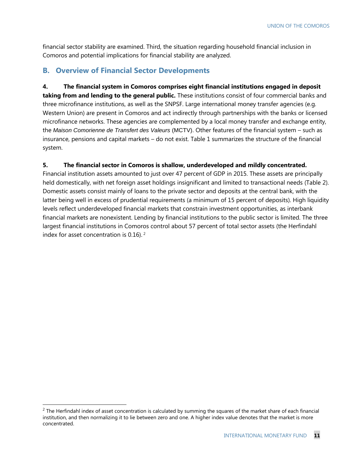financial sector stability are examined. Third, the situation regarding household financial inclusion in Comoros and potential implications for financial stability are analyzed.

### **B. Overview of Financial Sector Developments**

**4. The financial system in Comoros comprises eight financial institutions engaged in deposit taking from and lending to the general public.** These institutions consist of four commercial banks and three microfinance institutions, as well as the SNPSF. Large international money transfer agencies (e.g. Western Union) are present in Comoros and act indirectly through partnerships with the banks or licensed microfinance networks. These agencies are complemented by a local money transfer and exchange entity, the *Maison Comorienne de Transfert des Valeurs* (MCTV). Other features of the financial system – such as insurance, pensions and capital markets – do not exist. Table 1 summarizes the structure of the financial system.

### **5. The financial sector in Comoros is shallow, underdeveloped and mildly concentrated.**

Financial institution assets amounted to just over 47 percent of GDP in 2015. These assets are principally held domestically, with net foreign asset holdings insignificant and limited to transactional needs (Table 2). Domestic assets consist mainly of loans to the private sector and deposits at the central bank, with the latter being well in excess of prudential requirements (a minimum of 15 percent of deposits). High liquidity levels reflect underdeveloped financial markets that constrain investment opportunities, as interbank financial markets are nonexistent. Lending by financial institutions to the public sector is limited. The three largest financial institutions in Comoros control about 57 percent of total sector assets (the Herfindahl index for asset concentration is 0.16). <sup>2</sup>

 $2$  The Herfindahl index of asset concentration is calculated by summing the squares of the market share of each financial institution, and then normalizing it to lie between zero and one. A higher index value denotes that the market is more concentrated.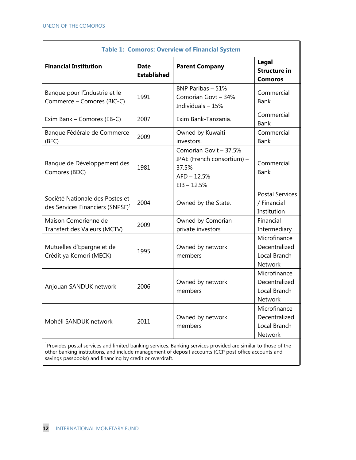|                                                                                                                                                                                                                                                                                               |                                   | <b>Table 1: Comoros: Overview of Financial System</b>                                           |                                                                 |
|-----------------------------------------------------------------------------------------------------------------------------------------------------------------------------------------------------------------------------------------------------------------------------------------------|-----------------------------------|-------------------------------------------------------------------------------------------------|-----------------------------------------------------------------|
| <b>Financial Institution</b>                                                                                                                                                                                                                                                                  | <b>Date</b><br><b>Established</b> | <b>Parent Company</b>                                                                           | Legal<br><b>Structure in</b><br><b>Comoros</b>                  |
| Banque pour l'Industrie et le<br>Commerce - Comores (BIC-C)                                                                                                                                                                                                                                   | 1991                              | BNP Paribas - 51%<br>Comorian Govt - 34%<br>Individuals - 15%                                   | Commercial<br><b>Bank</b>                                       |
| Exim Bank - Comores (EB-C)                                                                                                                                                                                                                                                                    | 2007                              | Exim Bank-Tanzania.                                                                             | Commercial<br>Bank                                              |
| Banque Fédérale de Commerce<br>(BFC)                                                                                                                                                                                                                                                          | 2009                              | Owned by Kuwaiti<br>investors.                                                                  | Commercial<br>Bank                                              |
| Banque de Développement des<br>Comores (BDC)                                                                                                                                                                                                                                                  | 1981                              | Comorian Gov't - 37.5%<br>IPAE (French consortium) -<br>37.5%<br>$AFD - 12.5%$<br>$EIB - 12.5%$ | Commercial<br>Bank                                              |
| Société Nationale des Postes et<br>des Services Financiers (SNPSF) <sup>1</sup>                                                                                                                                                                                                               | 2004                              | Owned by the State.                                                                             | <b>Postal Services</b><br>/ Financial<br>Institution            |
| Maison Comorienne de<br>Transfert des Valeurs (MCTV)                                                                                                                                                                                                                                          | 2009                              | Owned by Comorian<br>private investors                                                          | Financial<br>Intermediary                                       |
| Mutuelles d'Epargne et de<br>Crédit ya Komori (MECK)                                                                                                                                                                                                                                          | 1995                              | Owned by network<br>members                                                                     | Microfinance<br>Decentralized<br>Local Branch<br><b>Network</b> |
| Anjouan SANDUK network                                                                                                                                                                                                                                                                        | 2006                              | Owned by network<br>members                                                                     | Microfinance<br>Decentralized<br>Local Branch<br>Network        |
| Mohéli SANDUK network                                                                                                                                                                                                                                                                         | 2011                              | Owned by network<br>members                                                                     | Microfinance<br>Decentralized<br>Local Branch<br>Network        |
| <sup>1</sup> Provides postal services and limited banking services. Banking services provided are similar to those of the<br>other banking institutions, and include management of deposit accounts (CCP post office accounts and<br>savings passbooks) and financing by credit or overdraft. |                                   |                                                                                                 |                                                                 |

savings passbooks) and financing by credit or overdraft.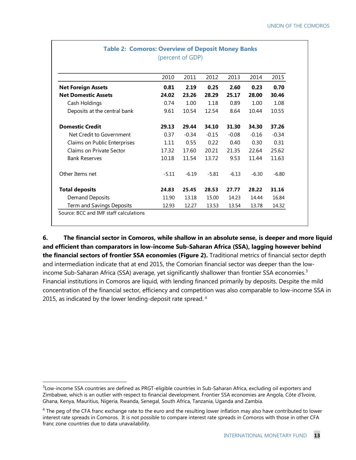|                              | 2010    | 2011    | 2012    | 2013    | 2014    | 2015    |
|------------------------------|---------|---------|---------|---------|---------|---------|
| <b>Net Foreign Assets</b>    | 0.81    | 2.19    | 0.25    | 2.60    | 0.23    | 0.70    |
| <b>Net Domestic Assets</b>   | 24.02   | 23.26   | 28.29   | 25.17   | 28.00   | 30.46   |
| Cash Holdings                | 0.74    | 1.00    | 1.18    | 0.89    | 1.00    | 1.08    |
| Deposits at the central bank | 9.61    | 10.54   | 12.54   | 8.64    | 10.44   | 10.55   |
| <b>Domestic Credit</b>       | 29.13   | 29.44   | 34.10   | 31.30   | 34.30   | 37.26   |
| Net Credit to Government     | 0.37    | $-0.34$ | $-0.15$ | $-0.08$ | $-0.16$ | $-0.34$ |
| Claims on Public Enterprises | 1.11    | 0.55    | 0.22    | 0.40    | 0.30    | 0.31    |
| Claims on Private Sector     | 17.32   | 17.60   | 20.21   | 21.35   | 22.64   | 25.62   |
| <b>Bank Reserves</b>         | 10.18   | 11.54   | 13.72   | 9.53    | 11.44   | 11.63   |
| Other Items net              | $-5.11$ | $-6.19$ | $-5.81$ | $-6.13$ | $-6.30$ | $-6.80$ |
| <b>Total deposits</b>        | 24.83   | 25.45   | 28.53   | 27.77   | 28.22   | 31.16   |
| Demand Deposits              | 11.90   | 13.18   | 15.00   | 14.23   | 14.44   | 16.84   |
| Term and Savings Deposits    | 12.93   | 12.27   | 13.53   | 13.54   | 13.78   | 14.32   |

### **Table 2: Comoros: Overview of Deposit Money Banks** (percent of GDP)

**6. The financial sector in Comoros, while shallow in an absolute sense, is deeper and more liquid and efficient than comparators in low-income Sub-Saharan Africa (SSA), lagging however behind the financial sectors of frontier SSA economies (Figure 2).** Traditional metrics of financial sector depth and intermediation indicate that at end 2015, the Comorian financial sector was deeper than the lowincome Sub-Saharan Africa (SSA) average, yet significantly shallower than frontier SSA economies.<sup>3</sup> Financial institutions in Comoros are liquid, with lending financed primarily by deposits. Despite the mild concentration of the financial sector, efficiency and competition was also comparable to low-income SSA in 2015, as indicated by the lower lending-deposit rate spread.<sup>4</sup>

<sup>3</sup> Low-income SSA countries are defined as PRGT-eligible countries in Sub-Saharan Africa, excluding oil exporters and Zimbabwe, which is an outlier with respect to financial development. Frontier SSA economies are Angola, Côte d'Ivoire, Ghana, Kenya, Mauritius, Nigeria, Rwanda, Senegal, South Africa, Tanzania, Uganda and Zambia.

 $4$  The peg of the CFA franc exchange rate to the euro and the resulting lower inflation may also have contributed to lower interest rate spreads in Comoros. It is not possible to compare interest rate spreads in Comoros with those in other CFA franc zone countries due to data unavailability.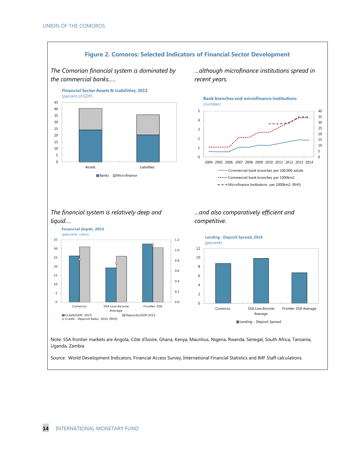

Source: World Development Indicators, Financial Access Survey, International Financial Statistics and IMF Staff calculations.

**14** INTERNATIONAL MONETARY FUND

Uganda, Zambia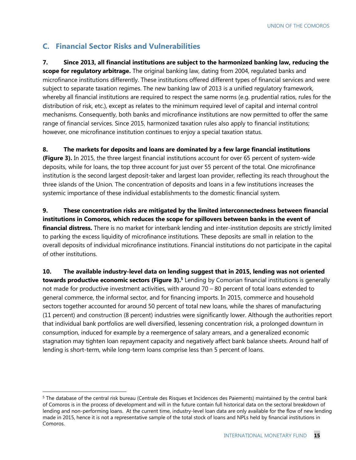### **C. Financial Sector Risks and Vulnerabilities**

 $\overline{a}$ 

**7. Since 2013, all financial institutions are subject to the harmonized banking law, reducing the scope for regulatory arbitrage.** The original banking law, dating from 2004, regulated banks and microfinance institutions differently. These institutions offered different types of financial services and were subject to separate taxation regimes. The new banking law of 2013 is a unified regulatory framework, whereby all financial institutions are required to respect the same norms (e.g. prudential ratios, rules for the distribution of risk, etc.), except as relates to the minimum required level of capital and internal control mechanisms. Consequently, both banks and microfinance institutions are now permitted to offer the same range of financial services. Since 2015, harmonized taxation rules also apply to financial institutions; however, one microfinance institution continues to enjoy a special taxation status.

### **8. The markets for deposits and loans are dominated by a few large financial institutions**

**(Figure 3).** In 2015, the three largest financial institutions account for over 65 percent of system-wide deposits, while for loans, the top three account for just over 55 percent of the total. One microfinance institution is the second largest deposit-taker and largest loan provider, reflecting its reach throughout the three islands of the Union. The concentration of deposits and loans in a few institutions increases the systemic importance of these individual establishments to the domestic financial system.

**9. These concentration risks are mitigated by the limited interconnectedness between financial institutions in Comoros, which reduces the scope for spillovers between banks in the event of financial distress.** There is no market for interbank lending and inter-institution deposits are strictly limited to parking the excess liquidity of microfinance institutions. These deposits are small in relation to the overall deposits of individual microfinance institutions. Financial institutions do not participate in the capital of other institutions.

**10. The available industry-level data on lending suggest that in 2015, lending was not oriented towards productive economic sectors (Figure 3).<sup>5</sup>** Lending by Comorian financial institutions is generally not made for productive investment activities, with around 70 – 80 percent of total loans extended to general commerce, the informal sector, and for financing imports. In 2015, commerce and household sectors together accounted for around 50 percent of total new loans, while the shares of manufacturing (11 percent) and construction (8 percent) industries were significantly lower. Although the authorities report that individual bank portfolios are well diversified, lessening concentration risk, a prolonged downturn in consumption, induced for example by a reemergence of salary arrears, and a generalized economic stagnation may tighten loan repayment capacity and negatively affect bank balance sheets. Around half of lending is short-term, while long-term loans comprise less than 5 percent of loans.

<sup>&</sup>lt;sup>5</sup> The database of the central risk bureau (Centrale des Risques et Incidences des Paiements) maintained by the central bank of Comoros is in the process of development and will in the future contain full historical data on the sectoral breakdown of lending and non-performing loans. At the current time, industry-level loan data are only available for the flow of new lending made in 2015, hence it is not a representative sample of the total stock of loans and NPLs held by financial institutions in Comoros.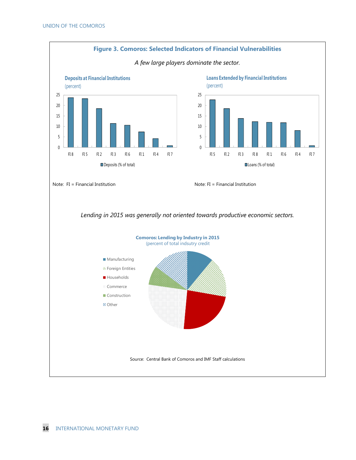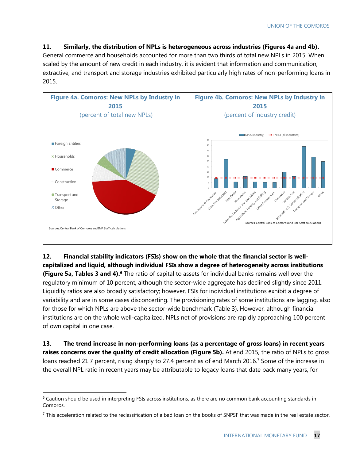**11. Similarly, the distribution of NPLs is heterogeneous across industries (Figures 4a and 4b).** 

General commerce and households accounted for more than two thirds of total new NPLs in 2015. When scaled by the amount of new credit in each industry, it is evident that information and communication, extractive, and transport and storage industries exhibited particularly high rates of non-performing loans in 2015.



**12. Financial stability indicators (FSIs) show on the whole that the financial sector is wellcapitalized and liquid, although individual FSIs show a degree of heterogeneity across institutions (Figure 5a, Tables 3 and 4).<sup>6</sup>** The ratio of capital to assets for individual banks remains well over the regulatory minimum of 10 percent, although the sector-wide aggregate has declined slightly since 2011. Liquidity ratios are also broadly satisfactory; however, FSIs for individual institutions exhibit a degree of variability and are in some cases disconcerting. The provisioning rates of some institutions are lagging, also for those for which NPLs are above the sector-wide benchmark (Table 3). However, although financial institutions are on the whole well-capitalized, NPLs net of provisions are rapidly approaching 100 percent of own capital in one case.

**13. The trend increase in non-performing loans (as a percentage of gross loans) in recent years raises concerns over the quality of credit allocation (Figure 5b).** At end 2015, the ratio of NPLs to gross loans reached 21.7 percent, rising sharply to 27.4 percent as of end March 2016.<sup>7</sup> Some of the increase in the overall NPL ratio in recent years may be attributable to legacy loans that date back many years, for

 $6$  Caution should be used in interpreting FSIs across institutions, as there are no common bank accounting standards in Comoros.

 $7$  This acceleration related to the reclassification of a bad loan on the books of SNPSF that was made in the real estate sector.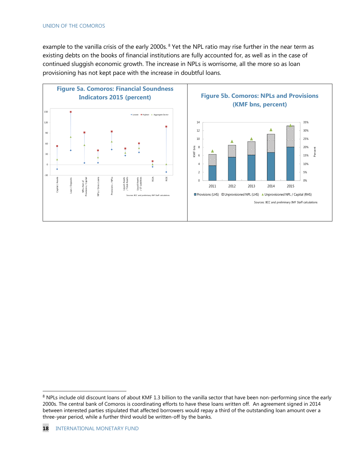example to the vanilla crisis of the early 2000s.<sup>8</sup> Yet the NPL ratio may rise further in the near term as existing debts on the books of financial institutions are fully accounted for, as well as in the case of continued sluggish economic growth. The increase in NPLs is worrisome, all the more so as loan provisioning has not kept pace with the increase in doubtful loans.



<sup>8</sup> NPLs include old discount loans of about KMF 1.3 billion to the vanilla sector that have been non-performing since the early 2000s. The central bank of Comoros is coordinating efforts to have these loans written off. An agreement signed in 2014 between interested parties stipulated that affected borrowers would repay a third of the outstanding loan amount over a three-year period, while a further third would be written-off by the banks.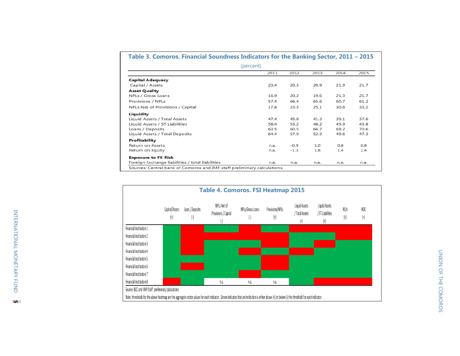| (percent)                                        |      |        |      |      |      |
|--------------------------------------------------|------|--------|------|------|------|
|                                                  | 2011 | 2012   | 2013 | 2014 | 2015 |
| <b>Capital Adequacy</b>                          |      |        |      |      |      |
| Capital / Assets                                 | 23.4 | 20.3   | 20.9 | 21.9 | 21.7 |
| <b>Asset Quality</b>                             |      |        |      |      |      |
| NPLs / Gross Loans                               | 16.9 | 20.2   | 19.6 | 21.3 | 21.7 |
| Provisions / NPLs                                | 57.4 | 66.4   | 65.6 | 60.7 | 61.2 |
| NPLs Net of Provisions / Capital                 | 17.8 | 23.5   | 25.1 | 30.6 | 33.2 |
| Liquidity                                        |      |        |      |      |      |
| Liquid Assets / Total Assets                     | 47.4 | 45.8   | 41.3 | 39.1 | 37.6 |
| Liquid Assets / ST Liabilities                   | 58.4 | 53.2   | 48.2 | 45.9 | 43.8 |
| Loans / Deposits                                 | 63.5 | 60.5   | 66.7 | 69.2 | 70.6 |
| Liquid Assets / Total Deposits                   | 64.4 | 57.9   | 52.3 | 49.6 | 47.3 |
| Profitability                                    |      |        |      |      |      |
| Return on Assets                                 | n.a. | $-0.9$ | 1.0  | 0.8  | 0.8  |
| Return on Equity                                 | n.a. | $-1.3$ | 1.8  | 1.4  | 1.4  |
| <b>Exposure to FX Risk</b>                       |      |        |      |      |      |
| Foreign Exchange liabilities / total liabilities | n.a. | n.a.   | n.a. | n.a. | n.a. |



INTERNATIONAL MONETARY FUND

INTERNATIONAL MONETARY FUND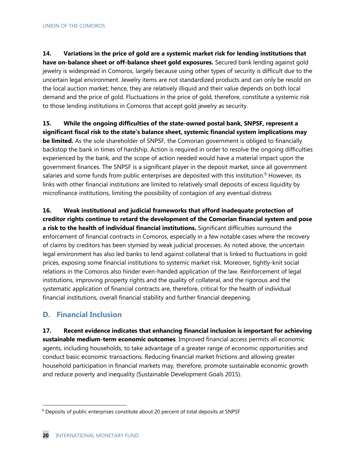**14. Variations in the price of gold are a systemic market risk for lending institutions that have on-balance sheet or off-balance sheet gold exposures.** Secured bank lending against gold jewelry is widespread in Comoros, largely because using other types of security is difficult due to the uncertain legal environment. Jewelry items are not standardized products and can only be resold on the local auction market; hence, they are relatively illiquid and their value depends on both local demand and the price of gold. Fluctuations in the price of gold, therefore, constitute a systemic risk to those lending institutions in Comoros that accept gold jewelry as security.

**15. While the ongoing difficulties of the state-owned postal bank, SNPSF, represent a significant fiscal risk to the state's balance sheet, systemic financial system implications may be limited.** As the sole shareholder of SNPSF, the Comorian government is obliged to financially backstop the bank in times of hardship. Action is required in order to resolve the ongoing difficulties experienced by the bank, and the scope of action needed would have a material impact upon the government finances. The SNPSF is a significant player in the deposit market, since all government salaries and some funds from public enterprises are deposited with this institution.<sup>9</sup> However, its links with other financial institutions are limited to relatively small deposits of excess liquidity by microfinance institutions, limiting the possibility of contagion of any eventual distress

**16. Weak institutional and judicial frameworks that afford inadequate protection of creditor rights continue to retard the development of the Comorian financial system and pose a risk to the health of individual financial institutions.** Significant difficulties surround the enforcement of financial contracts in Comoros, especially in a few notable cases where the recovery of claims by creditors has been stymied by weak judicial processes. As noted above, the uncertain legal environment has also led banks to lend against collateral that is linked to fluctuations in gold prices, exposing some financial institutions to systemic market risk. Moreover, tightly-knit social relations in the Comoros also hinder even-handed application of the law. Reinforcement of legal institutions, improving property rights and the quality of collateral, and the rigorous and the systematic application of financial contracts are, therefore, critical for the health of individual financial institutions, overall financial stability and further financial deepening.

### **D. Financial Inclusion**

**17. Recent evidence indicates that enhancing financial inclusion is important for achieving sustainable medium-term economic outcomes**. Improved financial access permits all economic agents, including households, to take advantage of a greater range of economic opportunities and conduct basic economic transactions. Reducing financial market frictions and allowing greater household participation in financial markets may, therefore, promote sustainable economic growth and reduce poverty and inequality (Sustainable Development Goals 2015).

<sup>&</sup>lt;sup>9</sup> Deposits of public enterprises constitute about 20 percent of total deposits at SNPSF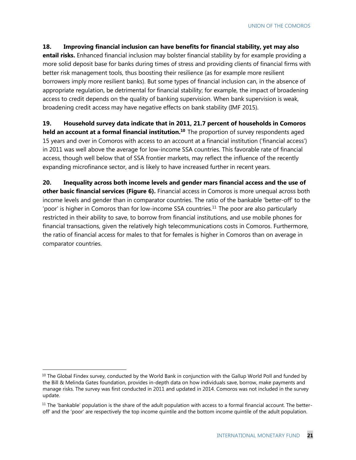### **18. Improving financial inclusion can have benefits for financial stability, yet may also**

**entail risks.** Enhanced financial inclusion may bolster financial stability by for example providing a more solid deposit base for banks during times of stress and providing clients of financial firms with better risk management tools, thus boosting their resilience (as for example more resilient borrowers imply more resilient banks). But some types of financial inclusion can, in the absence of appropriate regulation, be detrimental for financial stability; for example, the impact of broadening access to credit depends on the quality of banking supervision. When bank supervision is weak, broadening credit access may have negative effects on bank stability (IMF 2015).

### **19. Household survey data indicate that in 2011, 21.7 percent of households in Comoros**

**held an account at a formal financial institution.<sup>10</sup> The proportion of survey respondents aged** 15 years and over in Comoros with access to an account at a financial institution ('financial access') in 2011 was well above the average for low-income SSA countries. This favorable rate of financial access, though well below that of SSA frontier markets, may reflect the influence of the recently expanding microfinance sector, and is likely to have increased further in recent years.

**20. Inequality across both income levels and gender mars financial access and the use of other basic financial services (Figure 6).** Financial access in Comoros is more unequal across both income levels and gender than in comparator countries. The ratio of the bankable 'better-off' to the 'poor' is higher in Comoros than for low-income SSA countries.<sup>11</sup> The poor are also particularly restricted in their ability to save, to borrow from financial institutions, and use mobile phones for financial transactions, given the relatively high telecommunications costs in Comoros. Furthermore, the ratio of financial access for males to that for females is higher in Comoros than on average in comparator countries.

 $10$  The Global Findex survey, conducted by the World Bank in conjunction with the Gallup World Poll and funded by the Bill & Melinda Gates foundation, provides in-depth data on how individuals save, borrow, make payments and manage risks. The survey was first conducted in 2011 and updated in 2014. Comoros was not included in the survey update.

 $11$  The 'bankable' population is the share of the adult population with access to a formal financial account. The betteroff' and the 'poor' are respectively the top income quintile and the bottom income quintile of the adult population.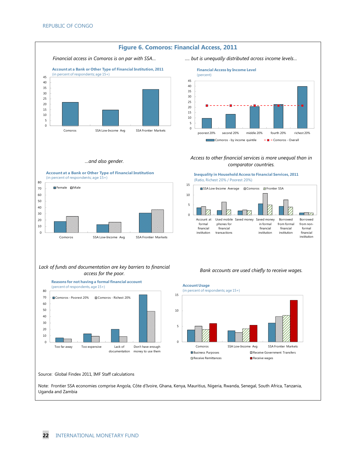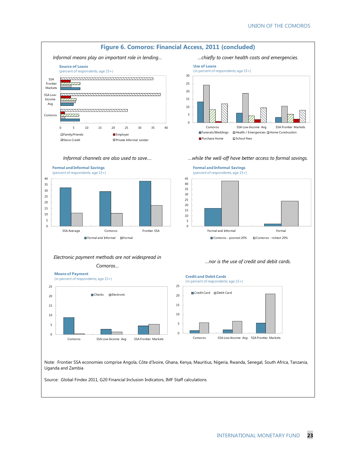

Note: Frontier SSA economies comprise Angola, Côte d'Ivoire, Ghana, Kenya, Mauritius, Nigeria, Rwanda, Senegal, South Africa, Tanzania, Uganda and Zambia

Source: Global Findex 2011, G20 Financial Inclusion Indicators, IMF Staff calculations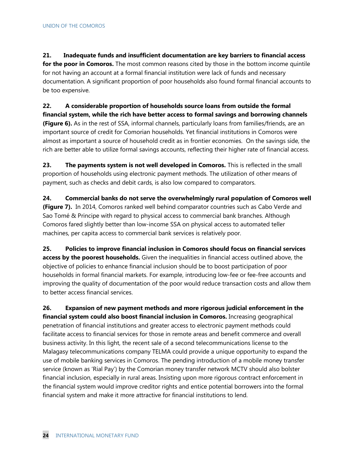**21. Inadequate funds and insufficient documentation are key barriers to financial access**  for the poor in Comoros. The most common reasons cited by those in the bottom income quintile for not having an account at a formal financial institution were lack of funds and necessary documentation. A significant proportion of poor households also found formal financial accounts to be too expensive.

**22. A considerable proportion of households source loans from outside the formal financial system, while the rich have better access to formal savings and borrowing channels (Figure 6).** As in the rest of SSA, informal channels, particularly loans from families/friends, are an important source of credit for Comorian households. Yet financial institutions in Comoros were almost as important a source of household credit as in frontier economies. On the savings side, the rich are better able to utilize formal savings accounts, reflecting their higher rate of financial access.

**23. The payments system is not well developed in Comoros.** This is reflected in the small proportion of households using electronic payment methods. The utilization of other means of payment, such as checks and debit cards, is also low compared to comparators.

**24. Commercial banks do not serve the overwhelmingly rural population of Comoros well (Figure 7).** In 2014, Comoros ranked well behind comparator countries such as Cabo Verde and Sao Tomé & Principe with regard to physical access to commercial bank branches. Although Comoros fared slightly better than low-income SSA on physical access to automated teller machines, per capita access to commercial bank services is relatively poor.

**25. Policies to improve financial inclusion in Comoros should focus on financial services access by the poorest households.** Given the inequalities in financial access outlined above, the objective of policies to enhance financial inclusion should be to boost participation of poor households in formal financial markets. For example, introducing low-fee or fee-free accounts and improving the quality of documentation of the poor would reduce transaction costs and allow them to better access financial services.

**26. Expansion of new payment methods and more rigorous judicial enforcement in the financial system could also boost financial inclusion in Comoros.** Increasing geographical penetration of financial institutions and greater access to electronic payment methods could facilitate access to financial services for those in remote areas and benefit commerce and overall business activity. In this light, the recent sale of a second telecommunications license to the Malagasy telecommunications company TELMA could provide a unique opportunity to expand the use of mobile banking services in Comoros. The pending introduction of a mobile money transfer service (known as 'Rial Pay') by the Comorian money transfer network MCTV should also bolster financial inclusion, especially in rural areas. Insisting upon more rigorous contract enforcement in the financial system would improve creditor rights and entice potential borrowers into the formal financial system and make it more attractive for financial institutions to lend.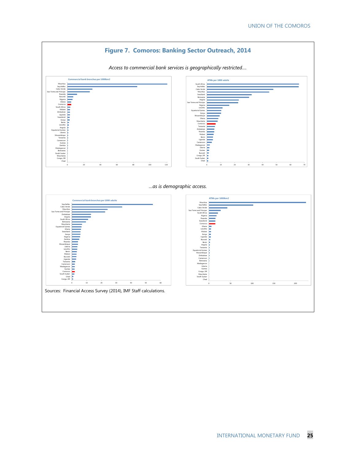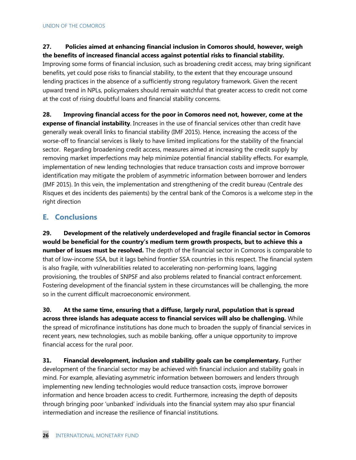### **27. Policies aimed at enhancing financial inclusion in Comoros should, however, weigh the benefits of increased financial access against potential risks to financial stability.**

Improving some forms of financial inclusion, such as broadening credit access, may bring significant benefits, yet could pose risks to financial stability, to the extent that they encourage unsound lending practices in the absence of a sufficiently strong regulatory framework. Given the recent upward trend in NPLs, policymakers should remain watchful that greater access to credit not come at the cost of rising doubtful loans and financial stability concerns.

**28. Improving financial access for the poor in Comoros need not, however, come at the expense of financial instability**. Increases in the use of financial services other than credit have generally weak overall links to financial stability (IMF 2015). Hence, increasing the access of the worse-off to financial services is likely to have limited implications for the stability of the financial sector. Regarding broadening credit access, measures aimed at increasing the credit supply by removing market imperfections may help minimize potential financial stability effects. For example, implementation of new lending technologies that reduce transaction costs and improve borrower identification may mitigate the problem of asymmetric information between borrower and lenders (IMF 2015). In this vein, the implementation and strengthening of the credit bureau (Centrale des Risques et des incidents des paiements) by the central bank of the Comoros is a welcome step in the right direction

### **E. Conclusions**

**29. Development of the relatively underdeveloped and fragile financial sector in Comoros would be beneficial for the country's medium term growth prospects, but to achieve this a number of issues must be resolved.** The depth of the financial sector in Comoros is comparable to that of low-income SSA, but it lags behind frontier SSA countries in this respect. The financial system is also fragile, with vulnerabilities related to accelerating non-performing loans, lagging provisioning, the troubles of SNPSF and also problems related to financial contract enforcement. Fostering development of the financial system in these circumstances will be challenging, the more so in the current difficult macroeconomic environment.

**30. At the same time, ensuring that a diffuse, largely rural, population that is spread across three islands has adequate access to financial services will also be challenging.** While the spread of microfinance institutions has done much to broaden the supply of financial services in recent years, new technologies, such as mobile banking, offer a unique opportunity to improve financial access for the rural poor.

**31. Financial development, inclusion and stability goals can be complementary.** Further development of the financial sector may be achieved with financial inclusion and stability goals in mind. For example, alleviating asymmetric information between borrowers and lenders through implementing new lending technologies would reduce transaction costs, improve borrower information and hence broaden access to credit. Furthermore, increasing the depth of deposits through bringing poor 'unbanked' individuals into the financial system may also spur financial intermediation and increase the resilience of financial institutions.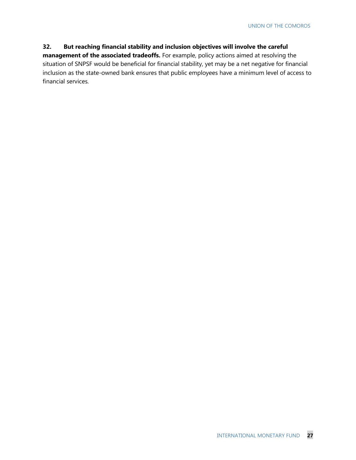### **32. But reaching financial stability and inclusion objectives will involve the careful**

**management of the associated tradeoffs.** For example, policy actions aimed at resolving the situation of SNPSF would be beneficial for financial stability, yet may be a net negative for financial inclusion as the state-owned bank ensures that public employees have a minimum level of access to financial services.